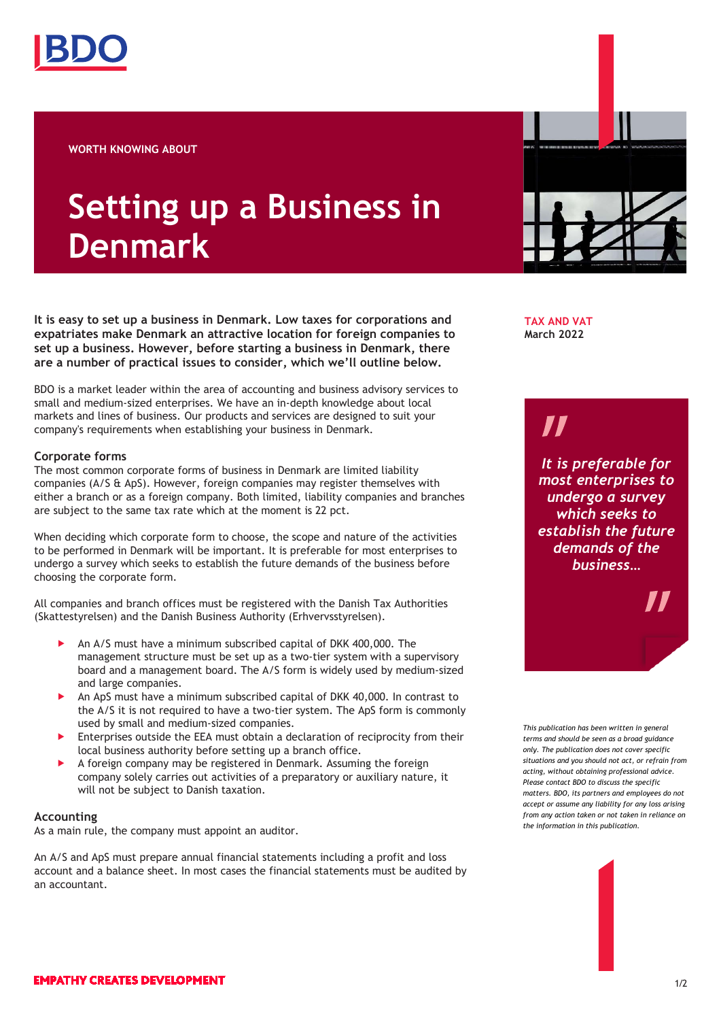

**WORTH KNOWING ABOUT**

# **Setting up a Business in Denmark**

**It is easy to set up a business in Denmark. Low taxes for corporations and expatriates make Denmark an attractive location for foreign companies to set up a business. However, before starting a business in Denmark, there are a number of practical issues to consider, which we'll outline below.** 

BDO is a market leader within the area of accounting and business advisory services to small and medium-sized enterprises. We have an in-depth knowledge about local markets and lines of business. Our products and services are designed to suit your company's requirements when establishing your business in Denmark.

## **Corporate forms**

The most common corporate forms of business in Denmark are limited liability companies (A/S & ApS). However, foreign companies may register themselves with either a branch or as a foreign company. Both limited, liability companies and branches are subject to the same tax rate which at the moment is 22 pct.

When deciding which corporate form to choose, the scope and nature of the activities to be performed in Denmark will be important. It is preferable for most enterprises to undergo a survey which seeks to establish the future demands of the business before choosing the corporate form.

All companies and branch offices must be registered with the Danish Tax Authorities (Skattestyrelsen) and the Danish Business Authority (Erhvervsstyrelsen).

- An A/S must have a minimum subscribed capital of DKK 400,000. The management structure must be set up as a two-tier system with a supervisory board and a management board. The A/S form is widely used by medium-sized and large companies.
- An ApS must have a minimum subscribed capital of DKK 40,000. In contrast to the A/S it is not required to have a two-tier system. The ApS form is commonly used by small and medium-sized companies.
- Enterprises outside the EEA must obtain a declaration of reciprocity from their local business authority before setting up a branch office.
- A foreign company may be registered in Denmark. Assuming the foreign company solely carries out activities of a preparatory or auxiliary nature, it will not be subject to Danish taxation.

# **Accounting**

As a main rule, the company must appoint an auditor.

An A/S and ApS must prepare annual financial statements including a profit and loss account and a balance sheet. In most cases the financial statements must be audited by an accountant.



**TAX AND VAT March 2022**

# 71

*It is preferable for most enterprises to undergo a survey which seeks to establish the future demands of the business…*

*This publication has been written in general terms and should be seen as a broad guidance only. The publication does not cover specific situations and you should not act, or refrain from acting, without obtaining professional advice. Please contact BDO to discuss the specific matters. BDO, its partners and employees do not accept or assume any liability for any loss arising from any action taken or not taken in reliance on the information in this publication.*